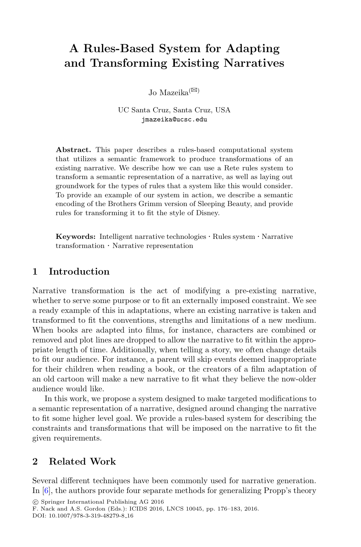# **A Rules-Based System for Adapting and Transforming Existing Narratives**

Jo Mazeika $^{(\boxtimes)}$ 

UC Santa Cruz, Santa Cruz, USA jmazeika@ucsc.edu

**Abstract.** This paper describes a rules-based computational system that utilizes a semantic framework to produce transformations of an existing narrative. We describe how we can use a Rete rules system to transform a semantic representation of a narrative, as well as laying out groundwork for the types of rules that a system like this would consider. To provide an example of our system in action, we describe a semantic encoding of the Brothers Grimm version of Sleeping Beauty, and provide rules for transforming it to fit the style of Disney.

**Keywords:** Intelligent narrative technologies *·* Rules system *·* Narrative transformation *·* Narrative representation

## **1 Introduction**

Narrative transformation is the act of modifying a pre-existing narrative, whether to serve some purpose or to fit an externally imposed constraint. We see a ready example of this in adaptations, where an existing narrative is taken and transformed to fit the conventions, strengths and limitations of a new medium. When books are adapted into films, for instance, characters are combined or removed and plot lines are dropped to allow the narrative to fit within the appropriate length of time. Additionally, when telling a story, we often change details to fit our audience. For instance, a parent will skip events deemed inappropriate for their children when reading a book, or the creators of a film adaptation of an old cartoon will make a new narrative to fit what they believe the now-older audience would like.

In this work, we propose a system designed to make targeted modifications to a semantic representation of a narrative, designed around changing the narrative to fit some higher level goal. We provide a rules-based system for describing the constraints and transformations that will be imposed on the narrative to fit the given requirements.

### **2 Related Work**

Several different techniques have been commonly used for narrative generation. In [\[6\]](#page-7-0), the authors provide four separate methods for generalizing Propp's theory

-c Springer International Publishing AG 2016

DOI: 10.1007/978-3-319-48279-8 16

F. Nack and A.S. Gordon (Eds.): ICIDS 2016, LNCS 10045, pp. 176–183, 2016.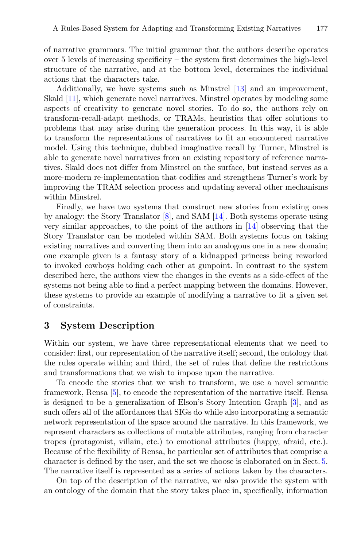of narrative grammars. The initial grammar that the authors describe operates over 5 levels of increasing specificity – the system first determines the high-level structure of the narrative, and at the bottom level, determines the individual actions that the characters take.

Additionally, we have systems such as Minstrel [\[13\]](#page-7-1) and an improvement, Skald [\[11\]](#page-7-2), which generate novel narratives. Minstrel operates by modeling some aspects of creativity to generate novel stories. To do so, the authors rely on transform-recall-adapt methods, or TRAMs, heuristics that offer solutions to problems that may arise during the generation process. In this way, it is able to transform the representations of narratives to fit an encountered narrative model. Using this technique, dubbed imaginative recall by Turner, Minstrel is able to generate novel narratives from an existing repository of reference narratives. Skald does not differ from Minstrel on the surface, but instead serves as a more-modern re-implementation that codifies and strengthens Turner's work by improving the TRAM selection process and updating several other mechanisms within Minstrel.

Finally, we have two systems that construct new stories from existing ones by analogy: the Story Translator [\[8\]](#page-7-3), and SAM [\[14](#page-7-4)]. Both systems operate using very similar approaches, to the point of the authors in [\[14\]](#page-7-4) observing that the Story Translator can be modeled within SAM. Both systems focus on taking existing narratives and converting them into an analogous one in a new domain; one example given is a fantasy story of a kidnapped princess being reworked to invoked cowboys holding each other at gunpoint. In contrast to the system described here, the authors view the changes in the events as a side-effect of the systems not being able to find a perfect mapping between the domains. However, these systems to provide an example of modifying a narrative to fit a given set of constraints.

### **3 System Description**

Within our system, we have three representational elements that we need to consider: first, our representation of the narrative itself; second, the ontology that the rules operate within; and third, the set of rules that define the restrictions and transformations that we wish to impose upon the narrative.

To encode the stories that we wish to transform, we use a novel semantic framework, Rensa [\[5\]](#page-7-5), to encode the representation of the narrative itself. Rensa is designed to be a generalization of Elson's Story Intention Graph [\[3](#page-7-6)], and as such offers all of the affordances that SIGs do while also incorporating a semantic network representation of the space around the narrative. In this framework, we represent characters as collections of mutable attributes, ranging from character tropes (protagonist, villain, etc.) to emotional attributes (happy, afraid, etc.). Because of the flexibility of Rensa, he particular set of attributes that comprise a character is defined by the user, and the set we choose is elaborated on in Sect. [5.](#page-3-0) The narrative itself is represented as a series of actions taken by the characters.

On top of the description of the narrative, we also provide the system with an ontology of the domain that the story takes place in, specifically, information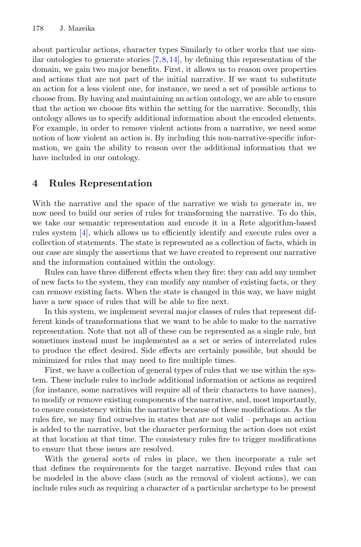about particular actions, character types Similarly to other works that use similar ontologies to generate stories [\[7,](#page-7-7)[8](#page-7-3)[,14](#page-7-4)], by defining this representation of the domain, we gain two major benefits. First, it allows us to reason over properties and actions that are not part of the initial narrative. If we want to substitute an action for a less violent one, for instance, we need a set of possible actions to choose from. By having and maintaining an action ontology, we are able to ensure that the action we choose fits within the setting for the narrative. Secondly, this ontology allows us to specify additional information about the encoded elements. For example, in order to remove violent actions from a narrative, we need some notion of how violent an action is. By including this non-narrative-specific information, we gain the ability to reason over the additional information that we have included in our ontology.

# **4 Rules Representation**

With the narrative and the space of the narrative we wish to generate in, we now need to build our series of rules for transforming the narrative. To do this, we take our semantic representation and encode it in a Rete algorithm-based rules system [\[4](#page-7-8)], which allows us to efficiently identify and execute rules over a collection of statements. The state is represented as a collection of facts, which in our case are simply the assertions that we have created to represent our narrative and the information contained within the ontology.

Rules can have three different effects when they fire: they can add any number of new facts to the system, they can modify any number of existing facts, or they can remove existing facts. When the state is changed in this way, we have might have a new space of rules that will be able to fire next.

In this system, we implement several major classes of rules that represent different kinds of transformations that we want to be able to make to the narrative representation. Note that not all of these can be represented as a single rule, but sometimes instead must be implemented as a set or series of interrelated rules to produce the effect desired. Side effects are certainly possible, but should be minimized for rules that may need to fire multiple times.

First, we have a collection of general types of rules that we use within the system. These include rules to include additional information or actions as required (for instance, some narratives will require all of their characters to have names), to modify or remove existing components of the narrative, and, most importantly, to ensure consistency within the narrative because of these modifications. As the rules fire, we may find ourselves in states that are not valid – perhaps an action is added to the narrative, but the character performing the action does not exist at that location at that time. The consistency rules fire to trigger modifications to ensure that these issues are resolved.

With the general sorts of rules in place, we then incorporate a rule set that defines the requirements for the target narrative. Beyond rules that can be modeled in the above class (such as the removal of violent actions), we can include rules such as requiring a character of a particular archetype to be present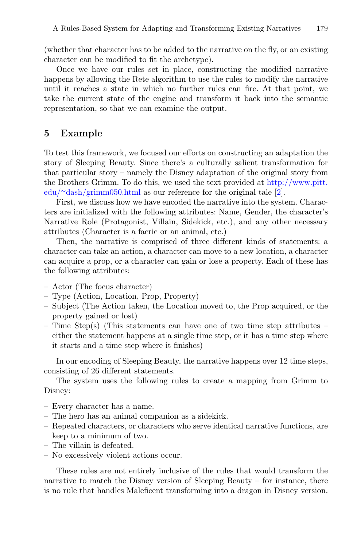(whether that character has to be added to the narrative on the fly, or an existing character can be modified to fit the archetype).

Once we have our rules set in place, constructing the modified narrative happens by allowing the Rete algorithm to use the rules to modify the narrative until it reaches a state in which no further rules can fire. At that point, we take the current state of the engine and transform it back into the semantic representation, so that we can examine the output.

## <span id="page-3-0"></span>**5 Example**

To test this framework, we focused our efforts on constructing an adaptation the story of Sleeping Beauty. Since there's a culturally salient transformation for that particular story – namely the Disney adaptation of the original story from the Brothers Grimm. To do this, we used the text provided at [http://www.pitt.](http://www.pitt.edu/~dash/grimm050.html) edu/∼[dash/grimm050.html](http://www.pitt.edu/~dash/grimm050.html) as our reference for the original tale [\[2](#page-7-9)].

First, we discuss how we have encoded the narrative into the system. Characters are initialized with the following attributes: Name, Gender, the character's Narrative Role (Protagonist, Villain, Sidekick, etc.), and any other necessary attributes (Character is a faerie or an animal, etc.)

Then, the narrative is comprised of three different kinds of statements: a character can take an action, a character can move to a new location, a character can acquire a prop, or a character can gain or lose a property. Each of these has the following attributes:

- Actor (The focus character)
- Type (Action, Location, Prop, Property)
- Subject (The Action taken, the Location moved to, the Prop acquired, or the property gained or lost)
- Time Step(s) (This statements can have one of two time step attributes either the statement happens at a single time step, or it has a time step where it starts and a time step where it finishes)

In our encoding of Sleeping Beauty, the narrative happens over 12 time steps, consisting of 26 different statements.

The system uses the following rules to create a mapping from Grimm to Disney:

- Every character has a name.
- The hero has an animal companion as a sidekick.
- Repeated characters, or characters who serve identical narrative functions, are keep to a minimum of two.
- The villain is defeated.
- No excessively violent actions occur.

These rules are not entirely inclusive of the rules that would transform the narrative to match the Disney version of Sleeping Beauty – for instance, there is no rule that handles Maleficent transforming into a dragon in Disney version.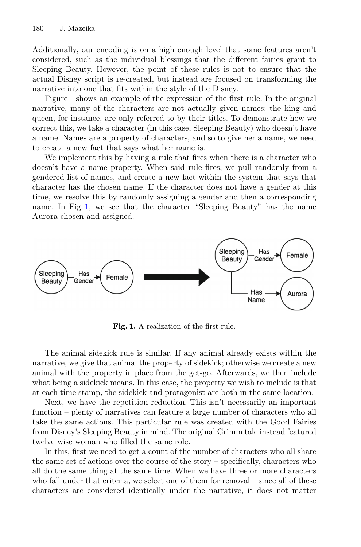Additionally, our encoding is on a high enough level that some features aren't considered, such as the individual blessings that the different fairies grant to Sleeping Beauty. However, the point of these rules is not to ensure that the actual Disney script is re-created, but instead are focused on transforming the narrative into one that fits within the style of the Disney.

Figure [1](#page-4-0) shows an example of the expression of the first rule. In the original narrative, many of the characters are not actually given names: the king and queen, for instance, are only referred to by their titles. To demonstrate how we correct this, we take a character (in this case, Sleeping Beauty) who doesn't have a name. Names are a property of characters, and so to give her a name, we need to create a new fact that says what her name is.

We implement this by having a rule that fires when there is a character who doesn't have a name property. When said rule fires, we pull randomly from a gendered list of names, and create a new fact within the system that says that character has the chosen name. If the character does not have a gender at this time, we resolve this by randomly assigning a gender and then a corresponding name. In Fig. [1,](#page-4-0) we see that the character "Sleeping Beauty" has the name Aurora chosen and assigned.



<span id="page-4-0"></span>**Fig. 1.** A realization of the first rule.

The animal sidekick rule is similar. If any animal already exists within the narrative, we give that animal the property of sidekick; otherwise we create a new animal with the property in place from the get-go. Afterwards, we then include what being a sidekick means. In this case, the property we wish to include is that at each time stamp, the sidekick and protagonist are both in the same location.

Next, we have the repetition reduction. This isn't necessarily an important function – plenty of narratives can feature a large number of characters who all take the same actions. This particular rule was created with the Good Fairies from Disney's Sleeping Beauty in mind. The original Grimm tale instead featured twelve wise woman who filled the same role.

In this, first we need to get a count of the number of characters who all share the same set of actions over the course of the story – specifically, characters who all do the same thing at the same time. When we have three or more characters who fall under that criteria, we select one of them for removal – since all of these characters are considered identically under the narrative, it does not matter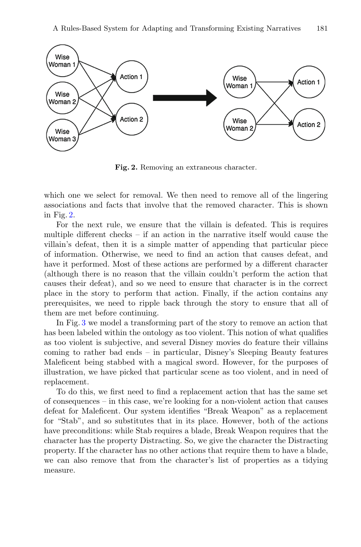

<span id="page-5-0"></span>**Fig. 2.** Removing an extraneous character.

which one we select for removal. We then need to remove all of the lingering associations and facts that involve that the removed character. This is shown in Fig. [2.](#page-5-0)

For the next rule, we ensure that the villain is defeated. This is requires multiple different checks – if an action in the narrative itself would cause the villain's defeat, then it is a simple matter of appending that particular piece of information. Otherwise, we need to find an action that causes defeat, and have it performed. Most of these actions are performed by a different character (although there is no reason that the villain couldn't perform the action that causes their defeat), and so we need to ensure that character is in the correct place in the story to perform that action. Finally, if the action contains any prerequisites, we need to ripple back through the story to ensure that all of them are met before continuing.

In Fig. [3](#page-6-0) we model a transforming part of the story to remove an action that has been labeled within the ontology as too violent. This notion of what qualifies as too violent is subjective, and several Disney movies do feature their villains coming to rather bad ends – in particular, Disney's Sleeping Beauty features Maleficent being stabbed with a magical sword. However, for the purposes of illustration, we have picked that particular scene as too violent, and in need of replacement.

To do this, we first need to find a replacement action that has the same set of consequences – in this case, we're looking for a non-violent action that causes defeat for Maleficent. Our system identifies "Break Weapon" as a replacement for "Stab", and so substitutes that in its place. However, both of the actions have preconditions: while Stab requires a blade, Break Weapon requires that the character has the property Distracting. So, we give the character the Distracting property. If the character has no other actions that require them to have a blade, we can also remove that from the character's list of properties as a tidying measure.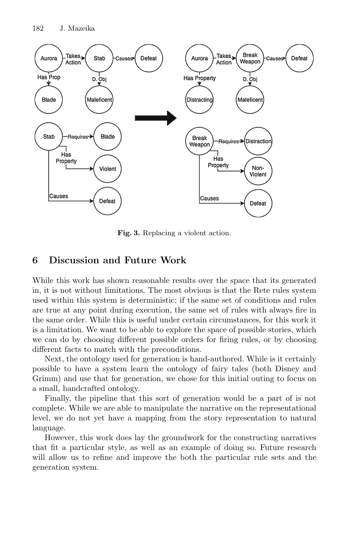

<span id="page-6-0"></span>**Fig. 3.** Replacing a violent action.

# **6 Discussion and Future Work**

While this work has shown reasonable results over the space that its generated in, it is not without limitations. The most obvious is that the Rete rules system used within this system is deterministic; if the same set of conditions and rules are true at any point during execution, the same set of rules with always fire in the same order. While this is useful under certain circumstances, for this work it is a limitation. We want to be able to explore the space of possible stories, which we can do by choosing different possible orders for firing rules, or by choosing different facts to match with the preconditions.

Next, the ontology used for generation is hand-authored. While is it certainly possible to have a system learn the ontology of fairy tales (both Disney and Grimm) and use that for generation, we chose for this initial outing to focus on a small, handcrafted ontology.

Finally, the pipeline that this sort of generation would be a part of is not complete. While we are able to manipulate the narrative on the representational level, we do not yet have a mapping from the story representation to natural language.

However, this work does lay the groundwork for the constructing narratives that fit a particular style, as well as an example of doing so. Future research will allow us to refine and improve the both the particular rule sets and the generation system.